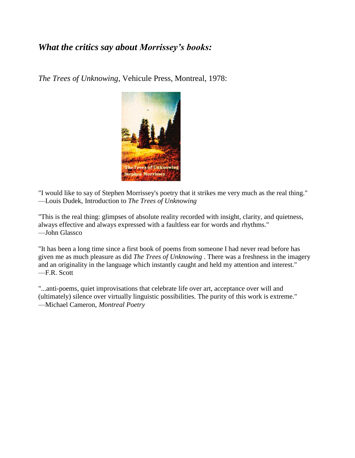# *What the critics say about Morrissey's books:*

*The Trees of Unknowing*, Vehicule Press, Montreal, 1978:



"I would like to say of Stephen Morrissey's poetry that it strikes me very much as the real thing." —Louis Dudek, Introduction to *The Trees of Unknowing*

"This is the real thing: glimpses of absolute reality recorded with insight, clarity, and quietness, always effective and always expressed with a faultless ear for words and rhythms." —John Glassco

"It has been a long time since a first book of poems from someone I had never read before has given me as much pleasure as did *The Trees of Unknowing* . There was a freshness in the imagery and an originality in the language which instantly caught and held my attention and interest." —F.R. Scott

"...anti-poems, quiet improvisations that celebrate life over art, acceptance over will and (ultimately) silence over virtually linguistic possibilities. The purity of this work is extreme." —Michael Cameron, *Montreal Poetry*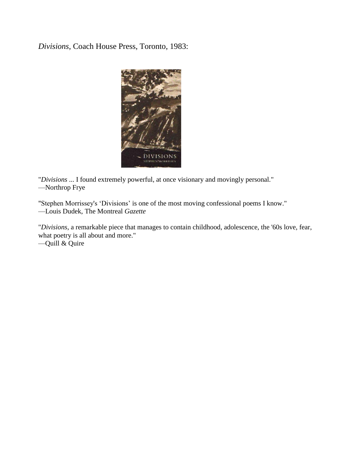*Divisions*, Coach House Press, Toronto, 1983:



"*Divisions* ... I found extremely powerful, at once visionary and movingly personal." —Northrop Frye

"Stephen Morrissey's 'Divisions' is one of the most moving confessional poems I know." —Louis Dudek, The Montreal *Gazette*

"*Divisions*, a remarkable piece that manages to contain childhood, adolescence, the '60s love, fear, what poetry is all about and more." —Quill & Quire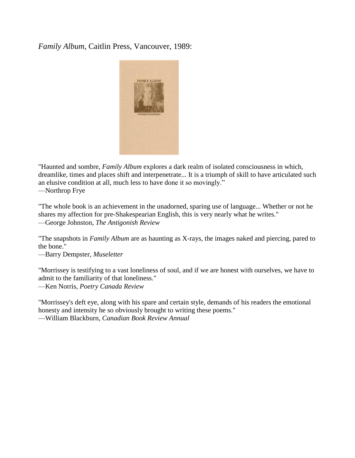## *Family Album*, Caitlin Press, Vancouver, 1989:



"Haunted and sombre, *Family Album* explores a dark realm of isolated consciousness in which, dreamlike, times and places shift and interpenetrate... It is a triumph of skill to have articulated such an elusive condition at all, much less to have done it so movingly."

—Northrop Frye

"The whole book is an achievement in the unadorned, sparing use of language... Whether or not he shares my affection for pre-Shakespearian English, this is very nearly what he writes." —George Johnston, *The Antigonish Review*

"The snapshots in *Family Album* are as haunting as X-rays, the images naked and piercing, pared to the bone."

—Barry Dempster, *Museletter*

"Morrissey is testifying to a vast loneliness of soul, and if we are honest with ourselves, we have to admit to the familiarity of that loneliness."

—Ken Norris, *Poetry Canada Review*

"Morrissey's deft eye, along with his spare and certain style, demands of his readers the emotional honesty and intensity he so obviously brought to writing these poems." —William Blackburn, *Canadian Book Review Annual*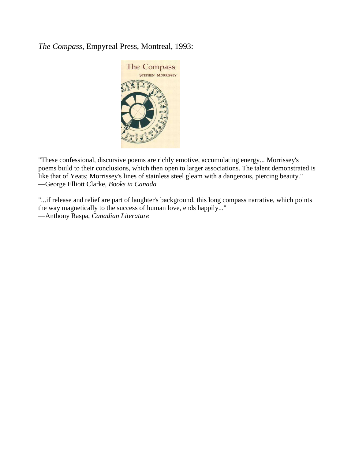## *The Compass*, Empyreal Press, Montreal, 1993:



"These confessional, discursive poems are richly emotive, accumulating energy... Morrissey's poems build to their conclusions, which then open to larger associations. The talent demonstrated is like that of Yeats; Morrissey's lines of stainless steel gleam with a dangerous, piercing beauty." —George Elliott Clarke, *Books in Canada*

"...if release and relief are part of laughter's background, this long compass narrative, which points the way magnetically to the success of human love, ends happily..." —Anthony Raspa, *Canadian Literature*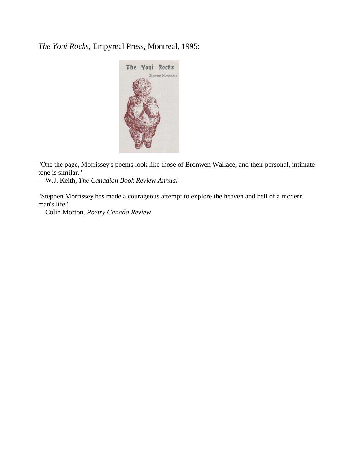*The Yoni Rocks*, Empyreal Press, Montreal, 1995:



"One the page, Morrissey's poems look like those of Bronwen Wallace, and their personal, intimate tone is similar."

—W.J. Keith, *The Canadian Book Review Annual* 

"Stephen Morrissey has made a courageous attempt to explore the heaven and hell of a modern man's life."

—Colin Morton, *Poetry Canada Review*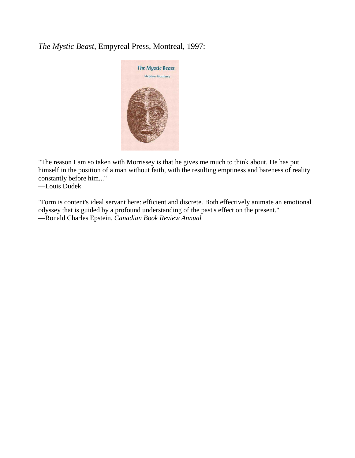## *The Mystic Beast*, Empyreal Press, Montreal, 1997:



"The reason I am so taken with Morrissey is that he gives me much to think about. He has put himself in the position of a man without faith, with the resulting emptiness and bareness of reality constantly before him..."

—Louis Dudek

"Form is content's ideal servant here: efficient and discrete. Both effectively animate an emotional odyssey that is guided by a profound understanding of the past's effect on the present." —Ronald Charles Epstein, *Canadian Book Review Annual*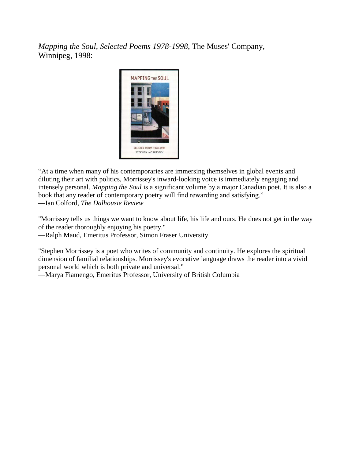*Mapping the Soul, Selected Poems 1978-1998*, The Muses' Company, Winnipeg, 1998:



"At a time when many of his contemporaries are immersing themselves in global events and diluting their art with politics, Morrissey's inward-looking voice is immediately engaging and intensely personal. *Mapping the Soul* is a significant volume by a major Canadian poet. It is also a book that any reader of contemporary poetry will find rewarding and satisfying." —Ian Colford, *The Dalhousie Review*

"Morrissey tells us things we want to know about life, his life and ours. He does not get in the way of the reader thoroughly enjoying his poetry."

—Ralph Maud, Emeritus Professor, Simon Fraser University

"Stephen Morrissey is a poet who writes of community and continuity. He explores the spiritual dimension of familial relationships. Morrissey's evocative language draws the reader into a vivid personal world which is both private and universal."

—Marya Fiamengo, Emeritus Professor, University of British Columbia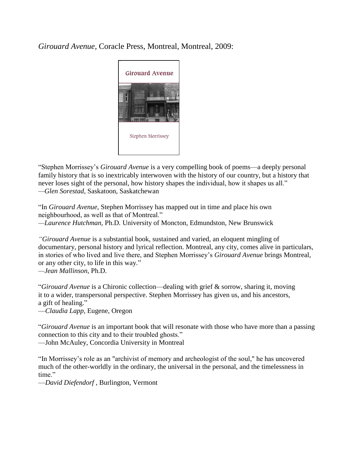### *Girouard Avenue*, Coracle Press, Montreal, Montreal, 2009:



"Stephen Morrissey's *Girouard Avenue* is a very compelling book of poems—a deeply personal family history that is so inextricably interwoven with the history of our country, but a history that never loses sight of the personal, how history shapes the individual, how it shapes us all." *—Glen Sorestad*, Saskatoon, Saskatchewan

"In *Girouard Avenue*, Stephen Morrissey has mapped out in time and place his own neighbourhood, as well as that of Montreal." *—Laurence Hutchman,* Ph.D*.* University of Moncton, Edmundston, New Brunswick

*"Girouard Avenue* is a substantial book, sustained and varied, an eloquent mingling of documentary, personal history and lyrical reflection. Montreal, any city, comes alive in particulars, in stories of who lived and live there, and Stephen Morrissey's *Girouard Avenue* brings Montreal, or any other city, to life in this way."

*—Jean Mallinson*, Ph.D.

"*Girouard Avenue* is a Chironic collection—dealing with grief & sorrow, sharing it, moving it to a wider, transpersonal perspective. Stephen Morrissey has given us, and his ancestors, a gift of healing."

—*Claudia Lapp*, Eugene, Oregon

"*Girouard Avenue* is an important book that will resonate with those who have more than a passing connection to this city and to their troubled ghosts."

—John McAuley, Concordia University in Montreal

"In Morrissey's role as an "archivist of memory and archeologist of the soul," he has uncovered much of the other-worldly in the ordinary, the universal in the personal, and the timelessness in time"

—*David Diefendorf* , Burlington, Vermont